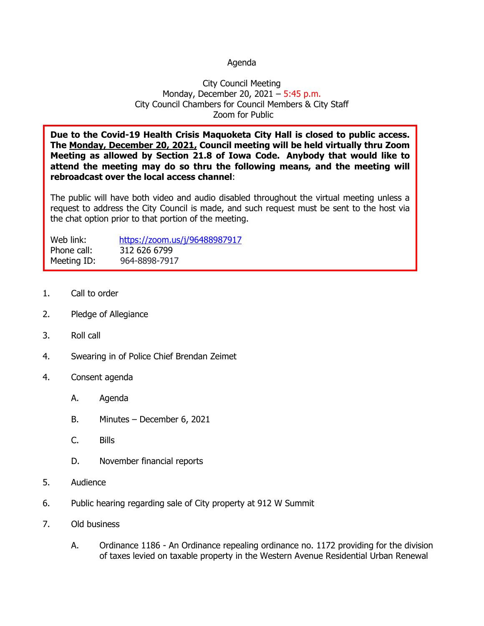## Agenda

## City Council Meeting Monday, December 20, 2021 - 5:45 p.m. City Council Chambers for Council Members & City Staff Zoom for Public

**Due to the Covid-19 Health Crisis Maquoketa City Hall is closed to public access. The Monday, December 20, 2021, Council meeting will be held virtually thru Zoom Meeting as allowed by Section 21.8 of Iowa Code. Anybody that would like to attend the meeting may do so thru the following means, and the meeting will rebroadcast over the local access channel**:

The public will have both video and audio disabled throughout the virtual meeting unless a request to address the City Council is made, and such request must be sent to the host via the chat option prior to that portion of the meeting.

| Web link:   | https://zoom.us/j/96488987917 |
|-------------|-------------------------------|
| Phone call: | 312 626 6799                  |
| Meeting ID: | 964-8898-7917                 |

- 1. Call to order
- 2. Pledge of Allegiance
- 3. Roll call
- 4. Swearing in of Police Chief Brendan Zeimet
- 4. Consent agenda
	- A. Agenda
	- B. Minutes December 6, 2021
	- C. Bills
	- D. November financial reports
- 5. Audience
- 6. Public hearing regarding sale of City property at 912 W Summit
- 7. Old business
	- A. Ordinance 1186 An Ordinance repealing ordinance no. 1172 providing for the division of taxes levied on taxable property in the Western Avenue Residential Urban Renewal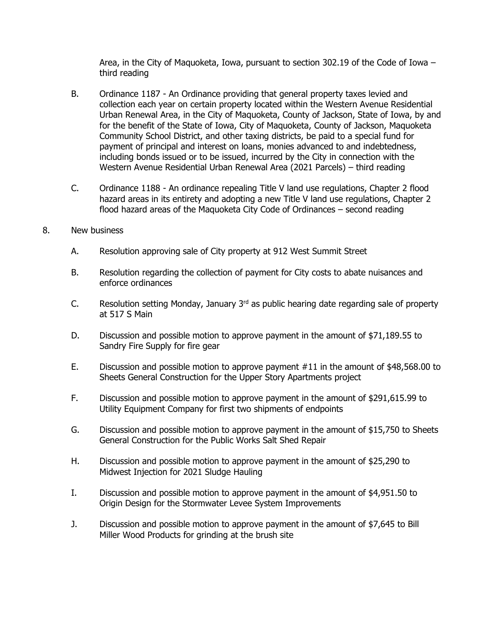Area, in the City of Maquoketa, Iowa, pursuant to section 302.19 of the Code of Iowa – third reading

- B. Ordinance 1187 An Ordinance providing that general property taxes levied and collection each year on certain property located within the Western Avenue Residential Urban Renewal Area, in the City of Maquoketa, County of Jackson, State of Iowa, by and for the benefit of the State of Iowa, City of Maquoketa, County of Jackson, Maquoketa Community School District, and other taxing districts, be paid to a special fund for payment of principal and interest on loans, monies advanced to and indebtedness, including bonds issued or to be issued, incurred by the City in connection with the Western Avenue Residential Urban Renewal Area (2021 Parcels) – third reading
- C. Ordinance 1188 An ordinance repealing Title V land use regulations, Chapter 2 flood hazard areas in its entirety and adopting a new Title V land use regulations, Chapter 2 flood hazard areas of the Maquoketa City Code of Ordinances – second reading
- 8. New business
	- A. Resolution approving sale of City property at 912 West Summit Street
	- B. Resolution regarding the collection of payment for City costs to abate nuisances and enforce ordinances
	- C. Resolution setting Monday, January  $3<sup>rd</sup>$  as public hearing date regarding sale of property at 517 S Main
	- D. Discussion and possible motion to approve payment in the amount of \$71,189.55 to Sandry Fire Supply for fire gear
	- E. Discussion and possible motion to approve payment #11 in the amount of \$48,568.00 to Sheets General Construction for the Upper Story Apartments project
	- F. Discussion and possible motion to approve payment in the amount of \$291,615.99 to Utility Equipment Company for first two shipments of endpoints
	- G. Discussion and possible motion to approve payment in the amount of \$15,750 to Sheets General Construction for the Public Works Salt Shed Repair
	- H. Discussion and possible motion to approve payment in the amount of \$25,290 to Midwest Injection for 2021 Sludge Hauling
	- I. Discussion and possible motion to approve payment in the amount of \$4,951.50 to Origin Design for the Stormwater Levee System Improvements
	- J. Discussion and possible motion to approve payment in the amount of \$7,645 to Bill Miller Wood Products for grinding at the brush site